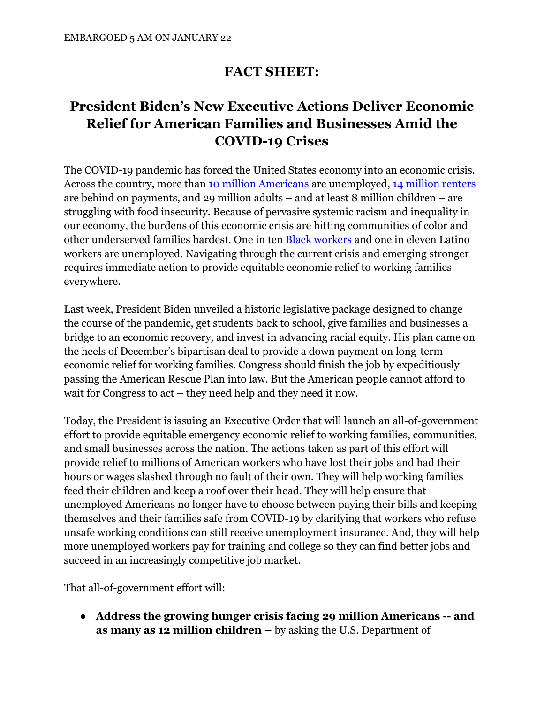## **FACT SHEET:**

# **President Biden's New Executive Actions Deliver Economic Relief for American Families and Businesses Amid the COVID-19 Crises**

The COVID-19 pandemic has forced the United States economy into an economic crisis. Across the country, more than [10 million Americans](https://www.bls.gov/news.release/empsit.nr0.htm) are unemployed, [14 million renters](https://www.cbpp.org/research/poverty-and-inequality/tracking-the-covid-19-recessions-effects-on-food-housing-and) are behind on payments, and 29 million adults – and at least 8 million children – are struggling with food insecurity. Because of pervasive systemic racism and inequality in our economy, the burdens of this economic crisis are hitting communities of color and other underserved families hardest. One in ten [Black workers](https://www.bls.gov/news.release/empsit.nr0.htm) and one in eleven Latino workers are unemployed. Navigating through the current crisis and emerging stronger requires immediate action to provide equitable economic relief to working families everywhere.

Last week, President Biden unveiled a historic legislative package designed to change the course of the pandemic, get students back to school, give families and businesses a bridge to an economic recovery, and invest in advancing racial equity. His plan came on the heels of December's bipartisan deal to provide a down payment on long-term economic relief for working families. Congress should finish the job by expeditiously passing the American Rescue Plan into law. But the American people cannot afford to wait for Congress to act – they need help and they need it now.

Today, the President is issuing an Executive Order that will launch an all-of-government effort to provide equitable emergency economic relief to working families, communities, and small businesses across the nation. The actions taken as part of this effort will provide relief to millions of American workers who have lost their jobs and had their hours or wages slashed through no fault of their own. They will help working families feed their children and keep a roof over their head. They will help ensure that unemployed Americans no longer have to choose between paying their bills and keeping themselves and their families safe from COVID-19 by clarifying that workers who refuse unsafe working conditions can still receive unemployment insurance. And, they will help more unemployed workers pay for training and college so they can find better jobs and succeed in an increasingly competitive job market.

That all-of-government effort will:

● **Address the growing hunger crisis facing 29 million Americans -- and as many as 12 million children –** by asking the U.S. Department of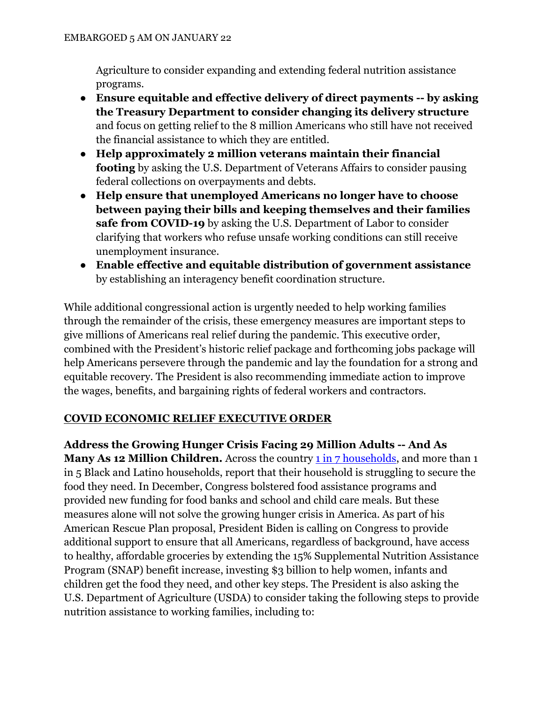Agriculture to consider expanding and extending federal nutrition assistance programs.

- **Ensure equitable and effective delivery of direct payments -- by asking the Treasury Department to consider changing its delivery structure**  and focus on getting relief to the 8 million Americans who still have not received the financial assistance to which they are entitled.
- **Help approximately 2 million veterans maintain their financial footing** by asking the U.S. Department of Veterans Affairs to consider pausing federal collections on overpayments and debts.
- **Help ensure that unemployed Americans no longer have to choose between paying their bills and keeping themselves and their families safe from COVID-19** by asking the U.S. Department of Labor to consider clarifying that workers who refuse unsafe working conditions can still receive unemployment insurance.
- **Enable effective and equitable distribution of government assistance**  by establishing an interagency benefit coordination structure.

While additional congressional action is urgently needed to help working families through the remainder of the crisis, these emergency measures are important steps to give millions of Americans real relief during the pandemic. This executive order, combined with the President's historic relief package and forthcoming jobs package will help Americans persevere through the pandemic and lay the foundation for a strong and equitable recovery. The President is also recommending immediate action to improve the wages, benefits, and bargaining rights of federal workers and contractors.

### **COVID ECONOMIC RELIEF EXECUTIVE ORDER**

**Address the Growing Hunger Crisis Facing 29 Million Adults -- And As Many As 12 Million Children.** Across the country **1** in 7 households, and more than 1 in 5 Black and Latino households, report that their household is struggling to secure the food they need. In December, Congress bolstered food assistance programs and provided new funding for food banks and school and child care meals. But these measures alone will not solve the growing hunger crisis in America. As part of his American Rescue Plan proposal, President Biden is calling on Congress to provide additional support to ensure that all Americans, regardless of background, have access to healthy, affordable groceries by extending the 15% Supplemental Nutrition Assistance Program (SNAP) benefit increase, investing \$3 billion to help women, infants and children get the food they need, and other key steps. The President is also asking the U.S. Department of Agriculture (USDA) to consider taking the following steps to provide nutrition assistance to working families, including to: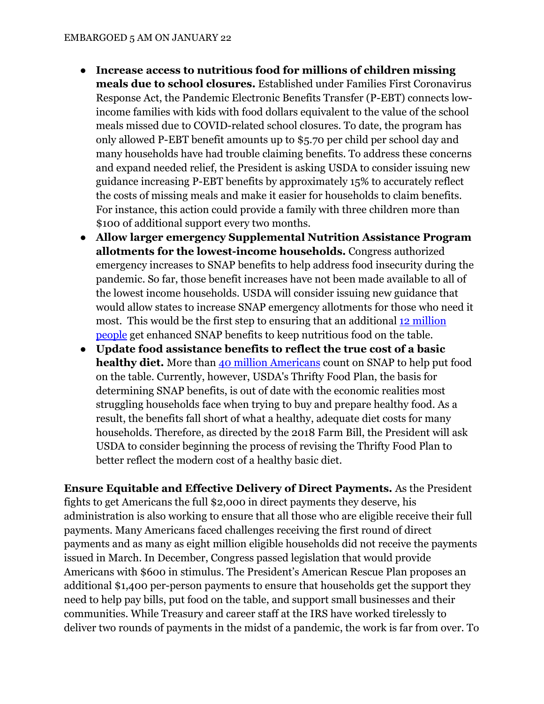- **Increase access to nutritious food for millions of children missing meals due to school closures.** Established under Families First Coronavirus Response Act, the Pandemic Electronic Benefits Transfer (P-EBT) connects lowincome families with kids with food dollars equivalent to the value of the school meals missed due to COVID-related school closures. To date, the program has only allowed P-EBT benefit amounts up to \$5.70 per child per school day and many households have had trouble claiming benefits. To address these concerns and expand needed relief, the President is asking USDA to consider issuing new guidance increasing P-EBT benefits by approximately 15% to accurately reflect the costs of missing meals and make it easier for households to claim benefits. For instance, this action could provide a family with three children more than \$100 of additional support every two months.
- **Allow larger emergency Supplemental Nutrition Assistance Program allotments for the lowest-income households.** Congress authorized emergency increases to SNAP benefits to help address food insecurity during the pandemic. So far, those benefit increases have not been made available to all of the lowest income households. USDA will consider issuing new guidance that would allow states to increase SNAP emergency allotments for those who need it most. This would be the first step to ensuring that an additional [12 million](https://www.americanprogress.org/issues/poverty/news/2020/07/28/488085/12-million-people-excluded-emergency-increases-snap-benefits/)  [people](https://www.americanprogress.org/issues/poverty/news/2020/07/28/488085/12-million-people-excluded-emergency-increases-snap-benefits/) get enhanced SNAP benefits to keep nutritious food on the table.
- **Update food assistance benefits to reflect the true cost of a basic healthy diet.** More than [40 million Americans](https://www.cbpp.org/research/poverty-and-inequality/tracking-the-covid-19-recessions-effects-on-food-housing-and) count on SNAP to help put food on the table. Currently, however, USDA's Thrifty Food Plan, the basis for determining SNAP benefits, is out of date with the economic realities most struggling households face when trying to buy and prepare healthy food. As a result, the benefits fall short of what a healthy, adequate diet costs for many households. Therefore, as directed by the 2018 Farm Bill, the President will ask USDA to consider beginning the process of revising the Thrifty Food Plan to better reflect the modern cost of a healthy basic diet.

**Ensure Equitable and Effective Delivery of Direct Payments.** As the President fights to get Americans the full \$2,000 in direct payments they deserve, his administration is also working to ensure that all those who are eligible receive their full payments. Many Americans faced challenges receiving the first round of direct payments and as many as eight million eligible households did not receive the payments issued in March. In December, Congress passed legislation that would provide Americans with \$600 in stimulus. The President's American Rescue Plan proposes an additional \$1,400 per-person payments to ensure that households get the support they need to help pay bills, put food on the table, and support small businesses and their communities. While Treasury and career staff at the IRS have worked tirelessly to deliver two rounds of payments in the midst of a pandemic, the work is far from over. To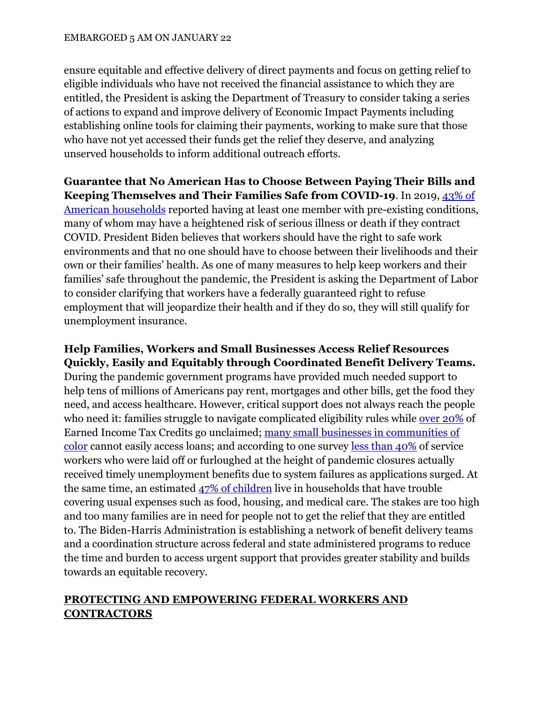ensure equitable and effective delivery of direct payments and focus on getting relief to eligible individuals who have not received the financial assistance to which they are entitled, the President is asking the Department of Treasury to consider taking a series of actions to expand and improve delivery of Economic Impact Payments including establishing online tools for claiming their payments, working to make sure that those who have not yet accessed their funds get the relief they deserve, and analyzing unserved households to inform additional outreach efforts.

**Guarantee that No American Has to Choose Between Paying Their Bills and Keeping Themselves and Their Families Safe from COVID-19**. In 2019, [43% of](https://news.gallup.com/poll/269003/households-report-preexisting-conditions.aspx)  [American households](https://news.gallup.com/poll/269003/households-report-preexisting-conditions.aspx) reported having at least one member with pre-existing conditions, many of whom may have a heightened risk of serious illness or death if they contract COVID. President Biden believes that workers should have the right to safe work environments and that no one should have to choose between their livelihoods and their own or their families' health. As one of many measures to help keep workers and their families' safe throughout the pandemic, the President is asking the Department of Labor to consider clarifying that workers have a federally guaranteed right to refuse employment that will jeopardize their health and if they do so, they will still qualify for unemployment insurance.

### **Help Families, Workers and Small Businesses Access Relief Resources Quickly, Easily and Equitably through Coordinated Benefit Delivery Teams.**

During the pandemic government programs have provided much needed support to help tens of millions of Americans pay rent, mortgages and other bills, get the food they need, and access healthcare. However, critical support does not always reach the people who need it: families struggle to navigate complicated eligibility rules while [over 20%](https://www.eitc.irs.gov/eitc-central/participation-rate/eitc-participation-rate-by-states) of Earned Income Tax Credits go unclaimed; [many small businesses in communities of](https://www.brookings.edu/research/new-data-shows-small-businesses-in-communities-of-color-had-unequal-access-to-federal-covid-19-relief/)  [color](https://www.brookings.edu/research/new-data-shows-small-businesses-in-communities-of-color-had-unequal-access-to-federal-covid-19-relief/) cannot easily access loans; and according to one survey [less than 40%](https://www.hks.harvard.edu/faculty-research/policy-topics/poverty-inequality-opportunity/only-one-quarter-service-sector?utm_medium=socialmedia&utm_source=hkslinkedin) of service workers who were laid off or furloughed at the height of pandemic closures actually received timely unemployment benefits due to system failures as applications surged. At the same time, an estimated [47% of children](https://www.cbpp.org/research/poverty-and-inequality/tracking-the-covid-19-recessions-effects-on-food-housing-and) live in households that have trouble covering usual expenses such as food, housing, and medical care. The stakes are too high and too many families are in need for people not to get the relief that they are entitled to. The Biden-Harris Administration is establishing a network of benefit delivery teams and a coordination structure across federal and state administered programs to reduce the time and burden to access urgent support that provides greater stability and builds towards an equitable recovery.

#### **PROTECTING AND EMPOWERING FEDERAL WORKERS AND CONTRACTORS**